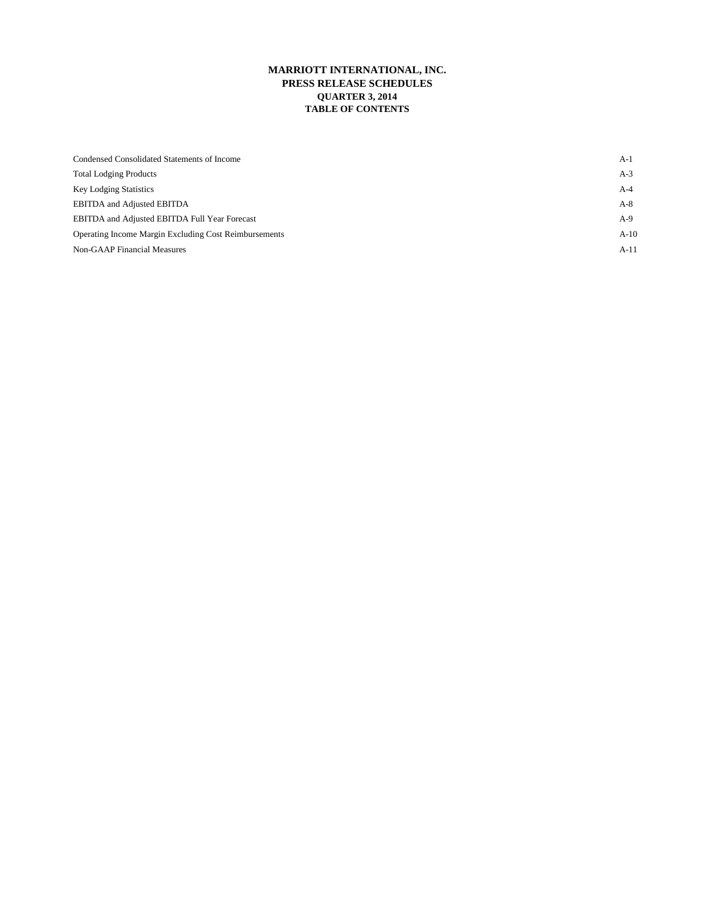## **MARRIOTT INTERNATIONAL, INC. PRESS RELEASE SCHEDULES QUARTER 3, 2014 TABLE OF CONTENTS**

| Condensed Consolidated Statements of Income           | A-1    |
|-------------------------------------------------------|--------|
| <b>Total Lodging Products</b>                         | A-3    |
| <b>Key Lodging Statistics</b>                         | A-4    |
| <b>EBITDA</b> and Adjusted EBITDA                     | A-8    |
| EBITDA and Adjusted EBITDA Full Year Forecast         | A-9    |
| Operating Income Margin Excluding Cost Reimbursements | $A-10$ |
| Non-GAAP Financial Measures                           | $A-11$ |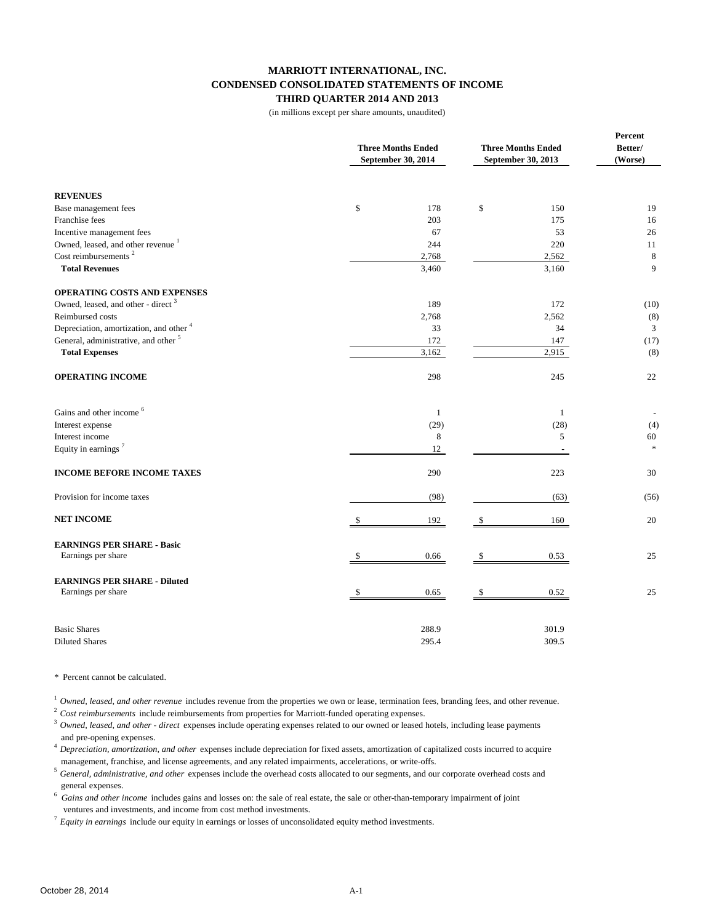## **MARRIOTT INTERNATIONAL, INC. CONDENSED CONSOLIDATED STATEMENTS OF INCOME THIRD QUARTER 2014 AND 2013**

(in millions except per share amounts, unaudited)

|                                                    | <b>Three Months Ended</b><br>September 30, 2014 | <b>Three Months Ended</b><br>September 30, 2013 | Percent<br>Better/<br>(Worse) |  |
|----------------------------------------------------|-------------------------------------------------|-------------------------------------------------|-------------------------------|--|
| <b>REVENUES</b>                                    |                                                 |                                                 |                               |  |
| Base management fees                               | \$<br>178                                       | \$<br>150                                       | 19                            |  |
| Franchise fees                                     | 203                                             | 175                                             | 16                            |  |
| Incentive management fees                          | 67                                              | 53                                              | 26                            |  |
| Owned, leased, and other revenue <sup>1</sup>      | 244                                             | 220                                             | 11                            |  |
| Cost reimbursements <sup>2</sup>                   | 2,768                                           | 2,562                                           | 8                             |  |
| <b>Total Revenues</b>                              | 3,460                                           | 3,160                                           | 9                             |  |
| OPERATING COSTS AND EXPENSES                       |                                                 |                                                 |                               |  |
| Owned, leased, and other - direct <sup>3</sup>     | 189                                             | 172                                             | (10)                          |  |
| Reimbursed costs                                   | 2,768                                           | 2,562                                           | (8)                           |  |
| Depreciation, amortization, and other <sup>4</sup> | 33                                              | 34                                              | 3                             |  |
| General, administrative, and other <sup>5</sup>    | 172                                             | 147                                             | (17)                          |  |
| <b>Total Expenses</b>                              | 3,162                                           | 2,915                                           | (8)                           |  |
| <b>OPERATING INCOME</b>                            | 298                                             | 245                                             | 22                            |  |
| Gains and other income <sup>6</sup>                | 1                                               | 1                                               |                               |  |
| Interest expense                                   | (29)                                            | (28)                                            | (4)                           |  |
| Interest income                                    | $\,8\,$                                         | 5                                               | 60                            |  |
| Equity in earnings <sup>7</sup>                    | 12                                              |                                                 | $\ast$                        |  |
| <b>INCOME BEFORE INCOME TAXES</b>                  | 290                                             | 223                                             | 30                            |  |
| Provision for income taxes                         | (98)                                            | (63)                                            | (56)                          |  |
| <b>NET INCOME</b>                                  | 192                                             | 160                                             | 20                            |  |
| <b>EARNINGS PER SHARE - Basic</b>                  |                                                 |                                                 |                               |  |
| Earnings per share                                 | 0.66                                            | 0.53                                            | 25                            |  |
| <b>EARNINGS PER SHARE - Diluted</b>                |                                                 |                                                 |                               |  |
| Earnings per share                                 | 0.65                                            | 0.52                                            | 25                            |  |
| <b>Basic Shares</b>                                | 288.9                                           | 301.9                                           |                               |  |
| <b>Diluted Shares</b>                              | 295.4                                           | 309.5                                           |                               |  |

\* Percent cannot be calculated.

<sup>1</sup> Owned, leased, and other revenue includes revenue from the properties we own or lease, termination fees, branding fees, and other revenue.

<sup>2</sup>*Cost reimbursements* include reimbursements from properties for Marriott-funded operating expenses.

- <sup>3</sup>*Owned, leased, and other direct* expenses include operating expenses related to our owned or leased hotels, including lease payments and pre-opening expenses.
- <sup>4</sup>*Depreciation, amortization, and other* expenses include depreciation for fixed assets, amortization of capitalized costs incurred to acquire management, franchise, and license agreements, and any related impairments, accelerations, or write-offs.<br><sup>5</sup> Canagel, administrative, and other axpances include the overhead secto ellocated to our cosmoste, and our
- <sup>5</sup>*General, administrative, and other* expenses include the overhead costs allocated to our segments, and our corporate overhead costs and general expenses.
- 6 *Gains and other income* includes gains and losses on: the sale of real estate, the sale or other-than-temporary impairment of joint ventures and investments, and income from cost method investments.

<sup>7</sup>*Equity in earnings* include our equity in earnings or losses of unconsolidated equity method investments.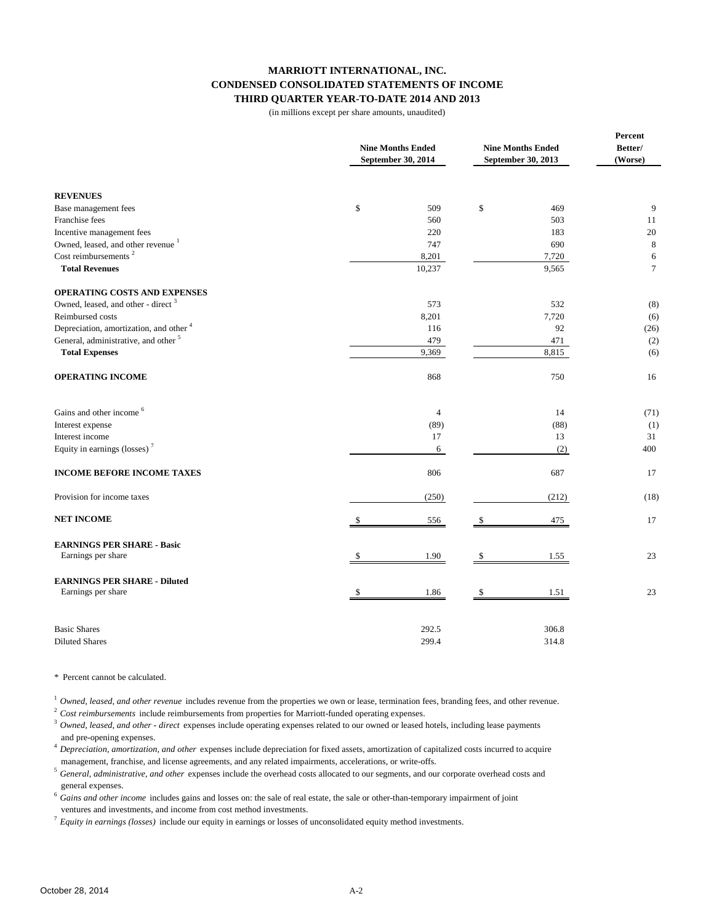## **MARRIOTT INTERNATIONAL, INC. CONDENSED CONSOLIDATED STATEMENTS OF INCOME THIRD QUARTER YEAR-TO-DATE 2014 AND 2013**

(in millions except per share amounts, unaudited)

|                                                    | <b>Nine Months Ended</b><br>September 30, 2014 | <b>Nine Months Ended</b><br>September 30, 2013 | Percent<br>Better/<br>(Worse) |  |
|----------------------------------------------------|------------------------------------------------|------------------------------------------------|-------------------------------|--|
| <b>REVENUES</b>                                    |                                                |                                                |                               |  |
| Base management fees                               | \$<br>509                                      | \$<br>469                                      | 9                             |  |
| Franchise fees                                     | 560                                            | 503                                            | 11                            |  |
| Incentive management fees                          | 220                                            | 183                                            | $20\,$                        |  |
| Owned, leased, and other revenue <sup>1</sup>      | 747                                            | 690                                            | 8                             |  |
| Cost reimbursements <sup>2</sup>                   | 8,201                                          | 7,720                                          | 6                             |  |
| <b>Total Revenues</b>                              | 10,237                                         | 9,565                                          | $7\phantom{.0}$               |  |
| <b>OPERATING COSTS AND EXPENSES</b>                |                                                |                                                |                               |  |
| Owned, leased, and other - direct <sup>3</sup>     | 573                                            | 532                                            | (8)                           |  |
| Reimbursed costs                                   | 8,201                                          | 7,720                                          | (6)                           |  |
| Depreciation, amortization, and other <sup>4</sup> | 116                                            | 92                                             | (26)                          |  |
| General, administrative, and other <sup>5</sup>    | 479                                            | 471                                            | (2)                           |  |
| <b>Total Expenses</b>                              | 9,369                                          | 8,815                                          | (6)                           |  |
| <b>OPERATING INCOME</b>                            | 868                                            | 750                                            | 16                            |  |
| Gains and other income <sup>6</sup>                | $\overline{4}$                                 | 14                                             | (71)                          |  |
| Interest expense                                   | (89)                                           | (88)                                           | (1)                           |  |
| Interest income                                    | 17                                             | 13                                             | 31                            |  |
| Equity in earnings (losses) <sup>7</sup>           | 6                                              | (2)                                            | 400                           |  |
| <b>INCOME BEFORE INCOME TAXES</b>                  | 806                                            | 687                                            | 17                            |  |
| Provision for income taxes                         | (250)                                          | (212)                                          | (18)                          |  |
| <b>NET INCOME</b>                                  | 556<br>\$                                      | 475<br>S.                                      | 17                            |  |
| <b>EARNINGS PER SHARE - Basic</b>                  |                                                |                                                |                               |  |
| Earnings per share                                 | 1.90                                           | 1.55                                           | 23                            |  |
| <b>EARNINGS PER SHARE - Diluted</b>                |                                                |                                                |                               |  |
| Earnings per share                                 | 1.86                                           | 1.51                                           | 23                            |  |
| <b>Basic Shares</b>                                | 292.5                                          | 306.8                                          |                               |  |
| <b>Diluted Shares</b>                              | 299.4                                          | 314.8                                          |                               |  |

\* Percent cannot be calculated.

<sup>1</sup> Owned, leased, and other revenue includes revenue from the properties we own or lease, termination fees, branding fees, and other revenue.

<sup>2</sup>*Cost reimbursements* include reimbursements from properties for Marriott-funded operating expenses.

- <sup>3</sup> Owned, leased, and other direct expenses include operating expenses related to our owned or leased hotels, including lease payments and pre-opening expenses.
- <sup>4</sup>*Depreciation, amortization, and other* expenses include depreciation for fixed assets, amortization of capitalized costs incurred to acquire management, franchise, and license agreements, and any related impairments, accelerations, or write-offs.<br><sup>5</sup> Canagel, administrative, and other axpances include the overhead secto ellocated to our cosmoste, and our
- <sup>5</sup>*General, administrative, and other* expenses include the overhead costs allocated to our segments, and our corporate overhead costs and general expenses.
- <sup>6</sup>*Gains and other income* includes gains and losses on: the sale of real estate, the sale or other-than-temporary impairment of joint ventures and investments, and income from cost method investments.

<sup>7</sup>*Equity in earnings (losses)* include our equity in earnings or losses of unconsolidated equity method investments.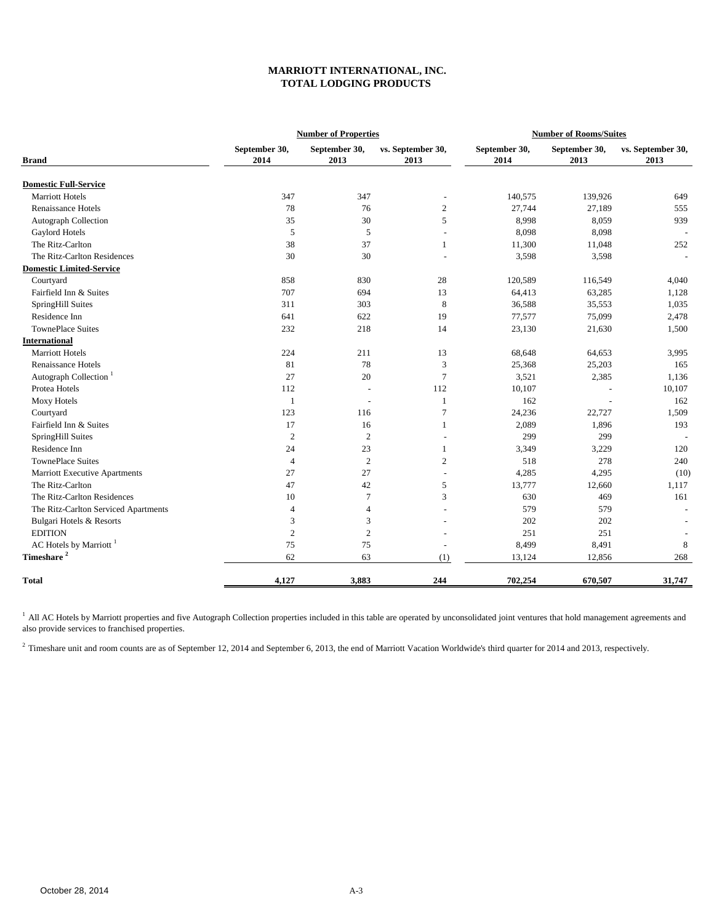## **MARRIOTT INTERNATIONAL, INC. TOTAL LODGING PRODUCTS**

|                                      | <b>Number of Properties</b><br><b>Number of Rooms/Suites</b> |                          |                           |                       |                       |                           |
|--------------------------------------|--------------------------------------------------------------|--------------------------|---------------------------|-----------------------|-----------------------|---------------------------|
| <b>Brand</b>                         | September 30,<br>2014                                        | September 30,<br>2013    | vs. September 30,<br>2013 | September 30,<br>2014 | September 30,<br>2013 | vs. September 30,<br>2013 |
| <b>Domestic Full-Service</b>         |                                                              |                          |                           |                       |                       |                           |
| <b>Marriott Hotels</b>               | 347                                                          | 347                      | $\overline{a}$            | 140,575               | 139,926               | 649                       |
| <b>Renaissance Hotels</b>            | 78                                                           | 76                       | $\overline{c}$            | 27,744                | 27,189                | 555                       |
| <b>Autograph Collection</b>          | 35                                                           | 30                       | 5                         | 8,998                 | 8,059                 | 939                       |
| Gaylord Hotels                       | 5                                                            | 5                        | $\overline{a}$            | 8,098                 | 8,098                 |                           |
| The Ritz-Carlton                     | 38                                                           | 37                       | 1                         | 11,300                | 11,048                | 252                       |
| The Ritz-Carlton Residences          | 30                                                           | 30                       |                           | 3,598                 | 3,598                 |                           |
| <b>Domestic Limited-Service</b>      |                                                              |                          |                           |                       |                       |                           |
| Courtyard                            | 858                                                          | 830                      | 28                        | 120,589               | 116,549               | 4,040                     |
| Fairfield Inn & Suites               | 707                                                          | 694                      | 13                        | 64,413                | 63,285                | 1,128                     |
| SpringHill Suites                    | 311                                                          | 303                      | 8                         | 36,588                | 35,553                | 1,035                     |
| Residence Inn                        | 641                                                          | 622                      | 19                        | 77,577                | 75,099                | 2,478                     |
| <b>TownePlace Suites</b>             | 232                                                          | 218                      | 14                        | 23,130                | 21,630                | 1,500                     |
| <b>International</b>                 |                                                              |                          |                           |                       |                       |                           |
| <b>Marriott Hotels</b>               | 224                                                          | 211                      | 13                        | 68,648                | 64,653                | 3,995                     |
| Renaissance Hotels                   | 81                                                           | 78                       | 3                         | 25,368                | 25,203                | 165                       |
| Autograph Collection <sup>1</sup>    | 27                                                           | 20                       | $\overline{7}$            | 3,521                 | 2,385                 | 1,136                     |
| Protea Hotels                        | 112                                                          | $\overline{\phantom{a}}$ | 112                       | 10,107                |                       | 10,107                    |
| Moxy Hotels                          | $\mathbf{1}$                                                 | $\overline{a}$           | $\mathbf{1}$              | 162                   |                       | 162                       |
| Courtyard                            | 123                                                          | 116                      | $\overline{7}$            | 24,236                | 22,727                | 1,509                     |
| Fairfield Inn & Suites               | 17                                                           | 16                       | 1                         | 2,089                 | 1,896                 | 193                       |
| SpringHill Suites                    | $\overline{2}$                                               | $\overline{2}$           |                           | 299                   | 299                   |                           |
| Residence Inn                        | 24                                                           | 23                       | $\mathbf{1}$              | 3,349                 | 3,229                 | 120                       |
| <b>TownePlace Suites</b>             | $\overline{4}$                                               | $\sqrt{2}$               | $\overline{c}$            | 518                   | 278                   | 240                       |
| Marriott Executive Apartments        | 27                                                           | 27                       | ÷                         | 4,285                 | 4,295                 | (10)                      |
| The Ritz-Carlton                     | 47                                                           | 42                       | 5                         | 13,777                | 12,660                | 1,117                     |
| The Ritz-Carlton Residences          | 10                                                           | $\tau$                   | 3                         | 630                   | 469                   | 161                       |
| The Ritz-Carlton Serviced Apartments | 4                                                            | $\overline{4}$           |                           | 579                   | 579                   |                           |
| Bulgari Hotels & Resorts             | 3                                                            | 3                        |                           | 202                   | 202                   |                           |
| <b>EDITION</b>                       | $\overline{2}$                                               | $\overline{2}$           |                           | 251                   | 251                   |                           |
| AC Hotels by Marriott <sup>1</sup>   | 75                                                           | 75                       | $\overline{a}$            | 8,499                 | 8,491                 | $\,$ 8 $\,$               |
| Timeshare <sup>2</sup>               | 62                                                           | 63                       | (1)                       | 13,124                | 12,856                | 268                       |
| <b>Total</b>                         | 4,127                                                        | 3,883                    | 244                       | 702,254               | 670,507               | 31,747                    |

<sup>1</sup> All AC Hotels by Marriott properties and five Autograph Collection properties included in this table are operated by unconsolidated joint ventures that hold management agreements and also provide services to franchised properties.

<sup>2</sup> Timeshare unit and room counts are as of September 12, 2014 and September 6, 2013, the end of Marriott Vacation Worldwide's third quarter for 2014 and 2013, respectively.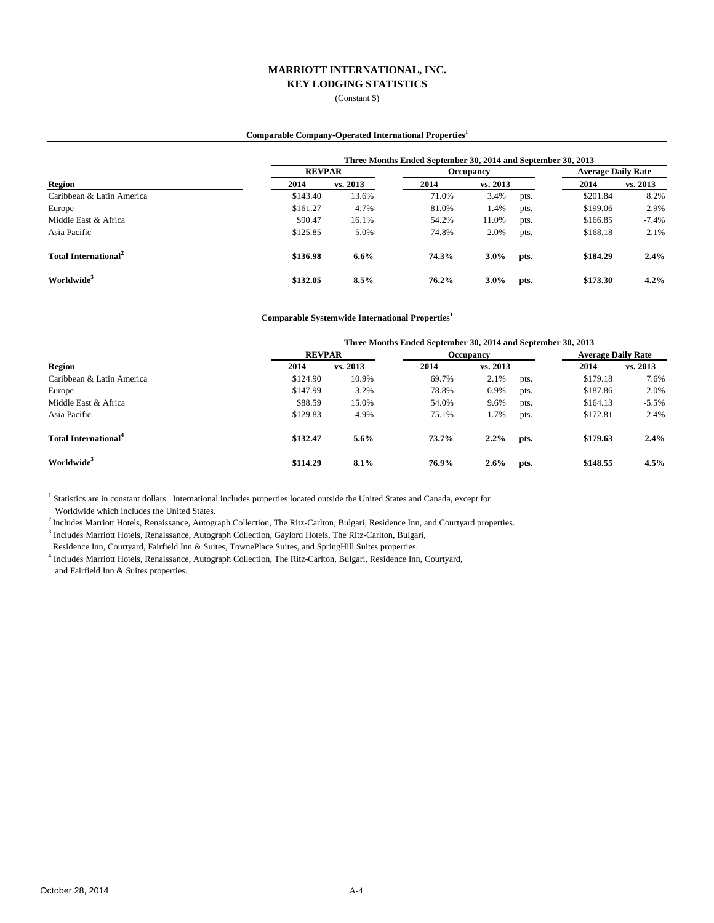(Constant \$)

#### **Comparable Company-Operated International Properties<sup>1</sup>**

|                                  | Three Months Ended September 30, 2014 and September 30, 2013 |               |       |           |      |          |                           |  |
|----------------------------------|--------------------------------------------------------------|---------------|-------|-----------|------|----------|---------------------------|--|
| Region                           |                                                              | <b>REVPAR</b> |       | Occupancy |      |          | <b>Average Daily Rate</b> |  |
|                                  | 2014                                                         | vs. 2013      | 2014  | vs. 2013  |      | 2014     | vs. 2013                  |  |
| Caribbean & Latin America        | \$143.40                                                     | 13.6%         | 71.0% | 3.4%      | pts. | \$201.84 | 8.2%                      |  |
| Europe                           | \$161.27                                                     | 4.7%          | 81.0% | 1.4%      | pts. | \$199.06 | 2.9%                      |  |
| Middle East & Africa             | \$90.47                                                      | 16.1%         | 54.2% | 11.0%     | pts. | \$166.85 | $-7.4%$                   |  |
| Asia Pacific                     | \$125.85                                                     | 5.0%          | 74.8% | 2.0%      | pts. | \$168.18 | 2.1%                      |  |
| Total International <sup>2</sup> | \$136.98                                                     | 6.6%          | 74.3% | $3.0\%$   | pts. | \$184.29 | 2.4%                      |  |
| Worldwide <sup>3</sup>           | \$132.05                                                     | 8.5%          | 76.2% | $3.0\%$   | pts. | \$173.30 | 4.2%                      |  |

**Comparable Systemwide International Properties<sup>1</sup>**

|                                         | Three Months Ended September 30, 2014 and September 30, 2013 |          |           |          |      |                           |          |  |
|-----------------------------------------|--------------------------------------------------------------|----------|-----------|----------|------|---------------------------|----------|--|
|                                         | <b>REVPAR</b>                                                |          | Occupancy |          |      | <b>Average Daily Rate</b> |          |  |
| <b>Region</b>                           | 2014                                                         | vs. 2013 | 2014      | vs. 2013 |      | 2014                      | vs. 2013 |  |
| Caribbean & Latin America               | \$124.90                                                     | 10.9%    | 69.7%     | 2.1%     | pts. | \$179.18                  | 7.6%     |  |
| Europe                                  | \$147.99                                                     | 3.2%     | 78.8%     | 0.9%     | pts. | \$187.86                  | 2.0%     |  |
| Middle East & Africa                    | \$88.59                                                      | 15.0%    | 54.0%     | 9.6%     | pts. | \$164.13                  | $-5.5%$  |  |
| Asia Pacific                            | \$129.83                                                     | 4.9%     | 75.1%     | 1.7%     | pts. | \$172.81                  | 2.4%     |  |
| <b>Total International</b> <sup>4</sup> | \$132.47                                                     | 5.6%     | 73.7%     | 2.2%     | pts. | \$179.63                  | 2.4%     |  |
| Worldwide <sup>3</sup>                  | \$114.29                                                     | 8.1%     | 76.9%     | 2.6%     | pts. | \$148.55                  | 4.5%     |  |

<sup>1</sup> Statistics are in constant dollars. International includes properties located outside the United States and Canada, except for Worldwide which includes the United States.

2 Includes Marriott Hotels, Renaissance, Autograph Collection, The Ritz-Carlton, Bulgari, Residence Inn, and Courtyard properties.

<sup>3</sup> Includes Marriott Hotels, Renaissance, Autograph Collection, Gaylord Hotels, The Ritz-Carlton, Bulgari,

Residence Inn, Courtyard, Fairfield Inn & Suites, TownePlace Suites, and SpringHill Suites properties.

4 Includes Marriott Hotels, Renaissance, Autograph Collection, The Ritz-Carlton, Bulgari, Residence Inn, Courtyard, and Fairfield Inn & Suites properties.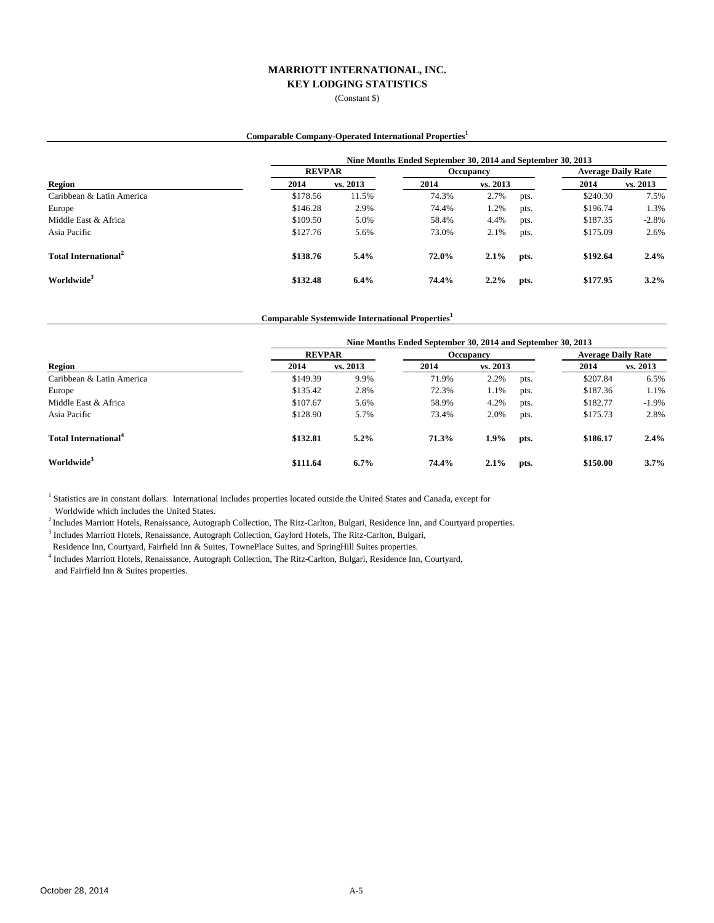(Constant \$)

#### **Comparable Company-Operated International Properties<sup>1</sup>**

|                                  | Nine Months Ended September 30, 2014 and September 30, 2013 |               |       |           |      |          |                           |  |
|----------------------------------|-------------------------------------------------------------|---------------|-------|-----------|------|----------|---------------------------|--|
| Region                           |                                                             | <b>REVPAR</b> |       | Occupancy |      |          | <b>Average Daily Rate</b> |  |
|                                  | 2014                                                        | vs. 2013      | 2014  | vs. 2013  |      | 2014     | vs. 2013                  |  |
| Caribbean & Latin America        | \$178.56                                                    | 11.5%         | 74.3% | 2.7%      | pts. | \$240.30 | 7.5%                      |  |
| Europe                           | \$146.28                                                    | 2.9%          | 74.4% | 1.2%      | pts. | \$196.74 | 1.3%                      |  |
| Middle East & Africa             | \$109.50                                                    | 5.0%          | 58.4% | 4.4%      | pts. | \$187.35 | $-2.8%$                   |  |
| Asia Pacific                     | \$127.76                                                    | 5.6%          | 73.0% | 2.1%      | pts. | \$175.09 | 2.6%                      |  |
| Total International <sup>2</sup> | \$138.76                                                    | 5.4%          | 72.0% | 2.1%      | pts. | \$192.64 | 2.4%                      |  |
| Worldwide <sup>3</sup>           | \$132.48                                                    | 6.4%          | 74.4% | 2.2%      | pts. | \$177.95 | $3.2\%$                   |  |

**Comparable Systemwide International Properties<sup>1</sup>**

|                                  | Nine Months Ended September 30, 2014 and September 30, 2013 |               |       |           |      |          |                           |  |
|----------------------------------|-------------------------------------------------------------|---------------|-------|-----------|------|----------|---------------------------|--|
|                                  |                                                             | <b>REVPAR</b> |       | Occupancy |      |          | <b>Average Daily Rate</b> |  |
| <b>Region</b>                    | 2014                                                        | vs. 2013      | 2014  | vs. 2013  |      | 2014     | vs. 2013                  |  |
| Caribbean & Latin America        | \$149.39                                                    | 9.9%          | 71.9% | 2.2%      | pts. | \$207.84 | 6.5%                      |  |
| Europe                           | \$135.42                                                    | 2.8%          | 72.3% | 1.1%      | pts. | \$187.36 | 1.1%                      |  |
| Middle East & Africa             | \$107.67                                                    | 5.6%          | 58.9% | 4.2%      | pts. | \$182.77 | $-1.9%$                   |  |
| Asia Pacific                     | \$128.90                                                    | 5.7%          | 73.4% | 2.0%      | pts. | \$175.73 | 2.8%                      |  |
| Total International <sup>4</sup> | \$132.81                                                    | $5.2\%$       | 71.3% | $1.9\%$   | pts. | \$186.17 | 2.4%                      |  |
| Worldwide <sup>3</sup>           | \$111.64                                                    | $6.7\%$       | 74.4% | 2.1%      | pts. | \$150.00 | $3.7\%$                   |  |

<sup>1</sup> Statistics are in constant dollars. International includes properties located outside the United States and Canada, except for Worldwide which includes the United States.

 $^{2}$  Includes Marriott Hotels, Renaissance, Autograph Collection, The Ritz-Carlton, Bulgari, Residence Inn, and Courtyard properties.

<sup>3</sup> Includes Marriott Hotels, Renaissance, Autograph Collection, Gaylord Hotels, The Ritz-Carlton, Bulgari,

Residence Inn, Courtyard, Fairfield Inn & Suites, TownePlace Suites, and SpringHill Suites properties.

4 Includes Marriott Hotels, Renaissance, Autograph Collection, The Ritz-Carlton, Bulgari, Residence Inn, Courtyard, and Fairfield Inn & Suites properties.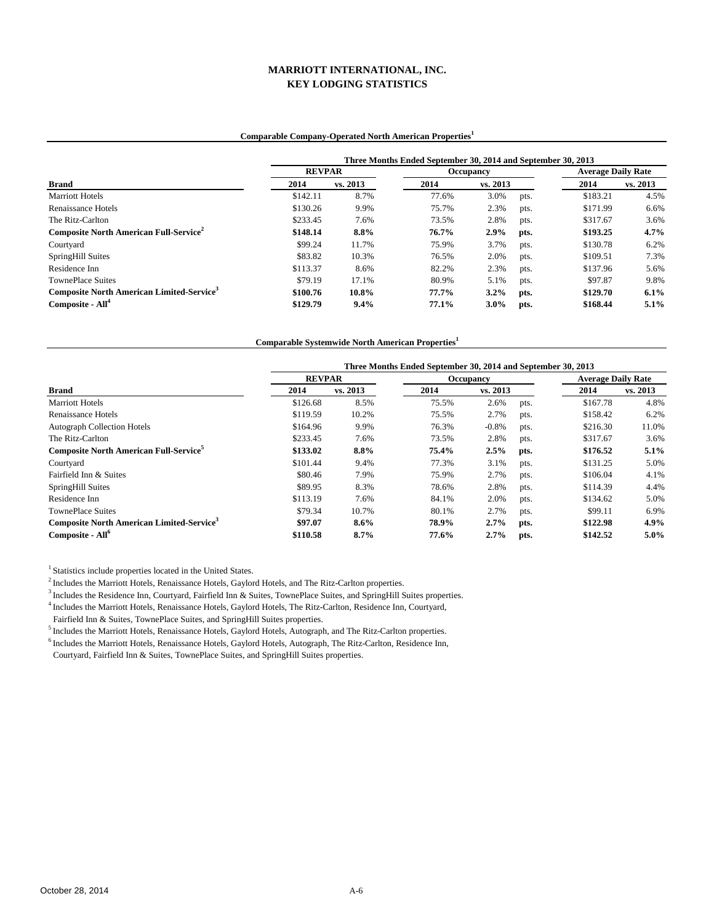## **Comparable Company-Operated North American Properties<sup>1</sup>**

|                                                              | Three Months Ended September 30, 2014 and September 30, 2013 |          |       |           |      |                           |          |  |
|--------------------------------------------------------------|--------------------------------------------------------------|----------|-------|-----------|------|---------------------------|----------|--|
| <b>Brand</b>                                                 | <b>REVPAR</b>                                                |          |       | Occupancy |      | <b>Average Daily Rate</b> |          |  |
|                                                              | 2014                                                         | vs. 2013 | 2014  | vs. 2013  |      | 2014                      | vs. 2013 |  |
| <b>Marriott Hotels</b>                                       | \$142.11                                                     | 8.7%     | 77.6% | 3.0%      | pts. | \$183.21                  | 4.5%     |  |
| Renaissance Hotels                                           | \$130.26                                                     | 9.9%     | 75.7% | 2.3%      | pts. | \$171.99                  | 6.6%     |  |
| The Ritz-Carlton                                             | \$233.45                                                     | 7.6%     | 73.5% | 2.8%      | pts. | \$317.67                  | 3.6%     |  |
| Composite North American Full-Service <sup>2</sup>           | \$148.14                                                     | 8.8%     | 76.7% | 2.9%      | pts. | \$193.25                  | 4.7%     |  |
| Courtyard                                                    | \$99.24                                                      | 11.7%    | 75.9% | 3.7%      | pts. | \$130.78                  | 6.2%     |  |
| SpringHill Suites                                            | \$83.82                                                      | 10.3%    | 76.5% | 2.0%      | pts. | \$109.51                  | 7.3%     |  |
| Residence Inn                                                | \$113.37                                                     | 8.6%     | 82.2% | 2.3%      | pts. | \$137.96                  | 5.6%     |  |
| <b>TownePlace Suites</b>                                     | \$79.19                                                      | 17.1%    | 80.9% | 5.1%      | pts. | \$97.87                   | 9.8%     |  |
| <b>Composite North American Limited-Service</b> <sup>3</sup> | \$100.76                                                     | 10.8%    | 77.7% | $3.2\%$   | pts. | \$129.70                  | 6.1%     |  |
| Composite - All <sup>4</sup>                                 | \$129.79                                                     | 9.4%     | 77.1% | $3.0\%$   | pts. | \$168.44                  | $5.1\%$  |  |

**Comparable Systemwide North American Properties<sup>1</sup>**

|                                                              | Three Months Ended September 30, 2014 and September 30, 2013 |          |           |          |      |                           |          |  |
|--------------------------------------------------------------|--------------------------------------------------------------|----------|-----------|----------|------|---------------------------|----------|--|
|                                                              | <b>REVPAR</b>                                                |          | Occupancy |          |      | <b>Average Daily Rate</b> |          |  |
| <b>Brand</b>                                                 | 2014                                                         | vs. 2013 | 2014      | vs. 2013 |      | 2014                      | vs. 2013 |  |
| <b>Marriott Hotels</b>                                       | \$126.68                                                     | 8.5%     | 75.5%     | 2.6%     | pts. | \$167.78                  | 4.8%     |  |
| Renaissance Hotels                                           | \$119.59                                                     | 10.2%    | 75.5%     | 2.7%     | pts. | \$158.42                  | 6.2%     |  |
| <b>Autograph Collection Hotels</b>                           | \$164.96                                                     | 9.9%     | 76.3%     | $-0.8%$  | pts. | \$216.30                  | 11.0%    |  |
| The Ritz-Carlton                                             | \$233.45                                                     | 7.6%     | 73.5%     | 2.8%     | pts. | \$317.67                  | 3.6%     |  |
| <b>Composite North American Full-Service</b>                 | \$133.02                                                     | 8.8%     | 75.4%     | 2.5%     | pts. | \$176.52                  | 5.1%     |  |
| Courtyard                                                    | \$101.44                                                     | 9.4%     | 77.3%     | 3.1%     | pts. | \$131.25                  | 5.0%     |  |
| Fairfield Inn & Suites                                       | \$80.46                                                      | 7.9%     | 75.9%     | 2.7%     | pts. | \$106.04                  | 4.1%     |  |
| SpringHill Suites                                            | \$89.95                                                      | 8.3%     | 78.6%     | 2.8%     | pts. | \$114.39                  | 4.4%     |  |
| Residence Inn                                                | \$113.19                                                     | 7.6%     | 84.1%     | 2.0%     | pts. | \$134.62                  | 5.0%     |  |
| <b>TownePlace Suites</b>                                     | \$79.34                                                      | 10.7%    | 80.1%     | 2.7%     | pts. | \$99.11                   | 6.9%     |  |
| <b>Composite North American Limited-Service</b> <sup>3</sup> | \$97.07                                                      | $8.6\%$  | 78.9%     | 2.7%     | pts. | \$122.98                  | 4.9%     |  |
| Composite - All <sup>o</sup>                                 | \$110.58                                                     | 8.7%     | 77.6%     | 2.7%     | pts. | \$142.52                  | $5.0\%$  |  |

<sup>1</sup> Statistics include properties located in the United States.

<sup>2</sup> Includes the Marriott Hotels, Renaissance Hotels, Gaylord Hotels, and The Ritz-Carlton properties.

<sup>3</sup> Includes the Residence Inn, Courtyard, Fairfield Inn & Suites, TownePlace Suites, and SpringHill Suites properties.

4 Includes the Marriott Hotels, Renaissance Hotels, Gaylord Hotels, The Ritz-Carlton, Residence Inn, Courtyard,

Fairfield Inn & Suites, TownePlace Suites, and SpringHill Suites properties.

5 Includes the Marriott Hotels, Renaissance Hotels, Gaylord Hotels, Autograph, and The Ritz-Carlton properties.

6 Includes the Marriott Hotels, Renaissance Hotels, Gaylord Hotels, Autograph, The Ritz-Carlton, Residence Inn,

Courtyard, Fairfield Inn & Suites, TownePlace Suites, and SpringHill Suites properties.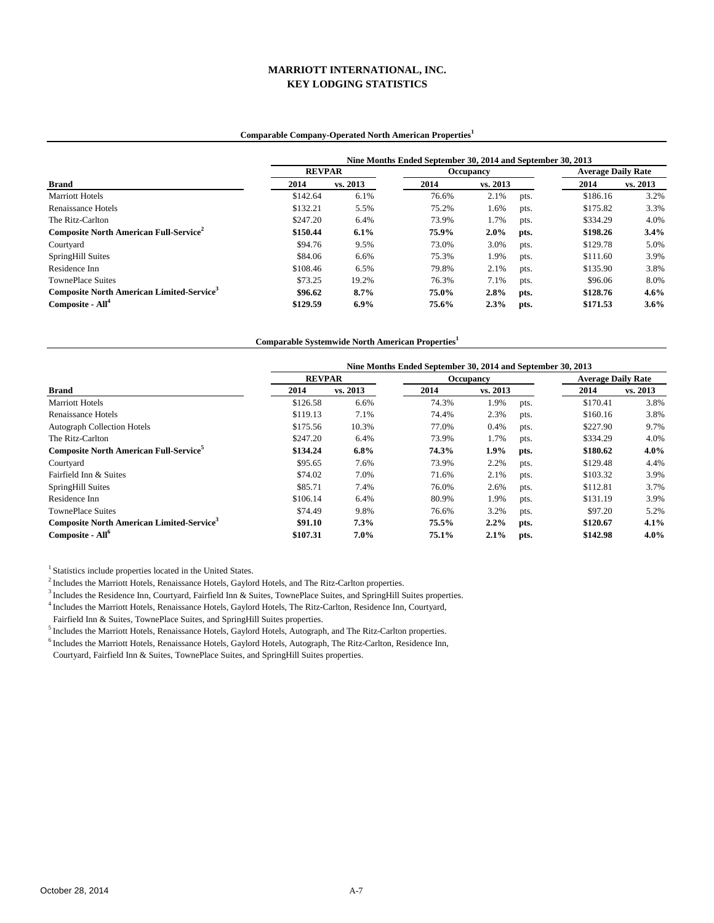## **Comparable Company-Operated North American Properties<sup>1</sup>**

|                                                              | Nine Months Ended September 30, 2014 and September 30, 2013 |          |           |          |      |                           |          |  |
|--------------------------------------------------------------|-------------------------------------------------------------|----------|-----------|----------|------|---------------------------|----------|--|
|                                                              | <b>REVPAR</b>                                               |          | Occupancy |          |      | <b>Average Daily Rate</b> |          |  |
| <b>Brand</b>                                                 | 2014                                                        | vs. 2013 | 2014      | vs. 2013 |      | 2014                      | vs. 2013 |  |
| <b>Marriott Hotels</b>                                       | \$142.64                                                    | 6.1%     | 76.6%     | 2.1%     | pts. | \$186.16                  | 3.2%     |  |
| Renaissance Hotels                                           | \$132.21                                                    | 5.5%     | 75.2%     | 1.6%     | pts. | \$175.82                  | 3.3%     |  |
| The Ritz-Carlton                                             | \$247.20                                                    | 6.4%     | 73.9%     | 1.7%     | pts. | \$334.29                  | 4.0%     |  |
| Composite North American Full-Service <sup>2</sup>           | \$150.44                                                    | 6.1%     | 75.9%     | $2.0\%$  | pts. | \$198.26                  | 3.4%     |  |
| Courtyard                                                    | \$94.76                                                     | 9.5%     | 73.0%     | 3.0%     | pts. | \$129.78                  | 5.0%     |  |
| SpringHill Suites                                            | \$84.06                                                     | 6.6%     | 75.3%     | 1.9%     | pts. | \$111.60                  | 3.9%     |  |
| Residence Inn                                                | \$108.46                                                    | 6.5%     | 79.8%     | 2.1%     | pts. | \$135.90                  | 3.8%     |  |
| <b>TownePlace Suites</b>                                     | \$73.25                                                     | 19.2%    | 76.3%     | 7.1%     | pts. | \$96.06                   | 8.0%     |  |
| <b>Composite North American Limited-Service</b> <sup>3</sup> | \$96.62                                                     | 8.7%     | 75.0%     | 2.8%     | pts. | \$128.76                  | 4.6%     |  |
| Composite - All <sup>4</sup>                                 | \$129.59                                                    | $6.9\%$  | 75.6%     | 2.3%     | pts. | \$171.53                  | $3.6\%$  |  |

**Comparable Systemwide North American Properties<sup>1</sup>**

|                                                              | Nine Months Ended September 30, 2014 and September 30, 2013 |          |           |          |      |                           |          |  |
|--------------------------------------------------------------|-------------------------------------------------------------|----------|-----------|----------|------|---------------------------|----------|--|
|                                                              | <b>REVPAR</b>                                               |          | Occupancy |          |      | <b>Average Daily Rate</b> |          |  |
| <b>Brand</b>                                                 | 2014                                                        | vs. 2013 | 2014      | vs. 2013 |      | 2014                      | vs. 2013 |  |
| <b>Marriott Hotels</b>                                       | \$126.58                                                    | 6.6%     | 74.3%     | 1.9%     | pts. | \$170.41                  | 3.8%     |  |
| Renaissance Hotels                                           | \$119.13                                                    | 7.1%     | 74.4%     | 2.3%     | pts. | \$160.16                  | 3.8%     |  |
| <b>Autograph Collection Hotels</b>                           | \$175.56                                                    | 10.3%    | 77.0%     | 0.4%     | pts. | \$227.90                  | 9.7%     |  |
| The Ritz-Carlton                                             | \$247.20                                                    | 6.4%     | 73.9%     | 1.7%     | pts. | \$334.29                  | 4.0%     |  |
| <b>Composite North American Full-Service</b>                 | \$134.24                                                    | 6.8%     | 74.3%     | 1.9%     | pts. | \$180.62                  | $4.0\%$  |  |
| Courtyard                                                    | \$95.65                                                     | 7.6%     | 73.9%     | 2.2%     | pts. | \$129.48                  | 4.4%     |  |
| Fairfield Inn & Suites                                       | \$74.02                                                     | 7.0%     | 71.6%     | 2.1%     | pts. | \$103.32                  | 3.9%     |  |
| SpringHill Suites                                            | \$85.71                                                     | 7.4%     | 76.0%     | 2.6%     | pts. | \$112.81                  | 3.7%     |  |
| Residence Inn                                                | \$106.14                                                    | 6.4%     | 80.9%     | 1.9%     | pts. | \$131.19                  | 3.9%     |  |
| <b>TownePlace Suites</b>                                     | \$74.49                                                     | 9.8%     | 76.6%     | 3.2%     | pts. | \$97.20                   | 5.2%     |  |
| <b>Composite North American Limited-Service</b> <sup>3</sup> | \$91.10                                                     | 7.3%     | 75.5%     | 2.2%     | pts. | \$120.67                  | 4.1%     |  |
| Composite - All <sup>o</sup>                                 | \$107.31                                                    | $7.0\%$  | 75.1%     | 2.1%     | pts. | \$142.98                  | $4.0\%$  |  |

<sup>1</sup> Statistics include properties located in the United States.

<sup>2</sup> Includes the Marriott Hotels, Renaissance Hotels, Gaylord Hotels, and The Ritz-Carlton properties.

<sup>3</sup> Includes the Residence Inn, Courtyard, Fairfield Inn & Suites, TownePlace Suites, and SpringHill Suites properties.

4 Includes the Marriott Hotels, Renaissance Hotels, Gaylord Hotels, The Ritz-Carlton, Residence Inn, Courtyard,

Fairfield Inn & Suites, TownePlace Suites, and SpringHill Suites properties.

5 Includes the Marriott Hotels, Renaissance Hotels, Gaylord Hotels, Autograph, and The Ritz-Carlton properties.

6 Includes the Marriott Hotels, Renaissance Hotels, Gaylord Hotels, Autograph, The Ritz-Carlton, Residence Inn,

Courtyard, Fairfield Inn & Suites, TownePlace Suites, and SpringHill Suites properties.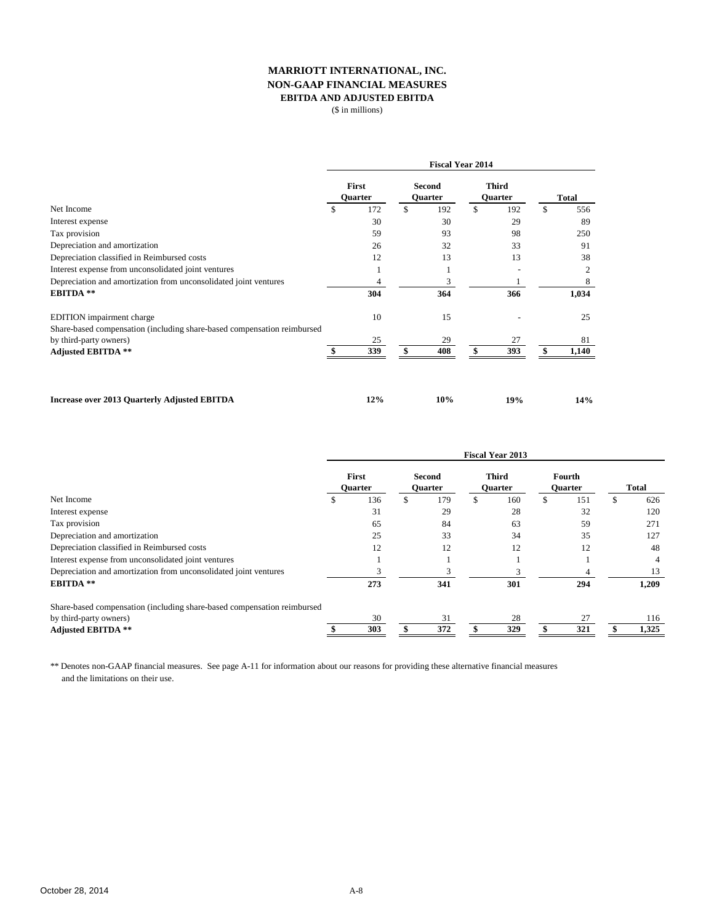## **MARRIOTT INTERNATIONAL, INC. NON-GAAP FINANCIAL MEASURES EBITDA AND ADJUSTED EBITDA**

(\$ in millions)

|                                                                                                                                                                                                                      | <b>Fiscal Year 2014</b> |                  |    |                                 |    |                         |    |               |
|----------------------------------------------------------------------------------------------------------------------------------------------------------------------------------------------------------------------|-------------------------|------------------|----|---------------------------------|----|-------------------------|----|---------------|
|                                                                                                                                                                                                                      |                         | First<br>Quarter |    | <b>Second</b><br><b>Ouarter</b> |    | <b>Third</b><br>Quarter |    | <b>Total</b>  |
| Net Income                                                                                                                                                                                                           | \$                      | 172              | \$ | 192                             | \$ | 192                     | \$ | 556           |
| Interest expense                                                                                                                                                                                                     |                         | 30               |    | 30                              |    | 29                      |    | 89            |
| Tax provision                                                                                                                                                                                                        |                         | 59               |    | 93                              |    | 98                      |    | 250           |
| Depreciation and amortization<br>Depreciation classified in Reimbursed costs<br>Interest expense from unconsolidated joint ventures<br>Depreciation and amortization from unconsolidated joint ventures<br>EBITDA ** |                         | 26<br>12<br>304  |    | 32<br>13                        |    | 33<br>13                |    | 91<br>38<br>2 |
|                                                                                                                                                                                                                      |                         |                  |    |                                 |    |                         |    |               |
|                                                                                                                                                                                                                      |                         |                  |    |                                 |    |                         |    |               |
|                                                                                                                                                                                                                      |                         |                  | 3  |                                 |    |                         | 8  |               |
|                                                                                                                                                                                                                      |                         |                  |    | 364                             |    | 366                     |    | 1,034         |
| EDITION impairment charge                                                                                                                                                                                            |                         | 10               |    | 15                              |    |                         |    | 25            |
| Share-based compensation (including share-based compensation reimbursed                                                                                                                                              |                         |                  |    |                                 |    |                         |    |               |
| by third-party owners)<br><b>Adjusted EBITDA **</b>                                                                                                                                                                  |                         | 25               | 29 |                                 |    | 27                      |    | 81            |
|                                                                                                                                                                                                                      |                         | 339              | \$ | 408                             | \$ | 393                     | \$ | 1,140         |
| <b>Increase over 2013 Quarterly Adjusted EBITDA</b>                                                                                                                                                                  |                         | 12%              |    | 10%                             |    | 19%                     |    | 14%           |

|                                                                         | <b>Fiscal Year 2013</b> |                         |  |                          |   |                                |  |                          |   |              |  |
|-------------------------------------------------------------------------|-------------------------|-------------------------|--|--------------------------|---|--------------------------------|--|--------------------------|---|--------------|--|
|                                                                         |                         | First<br><b>Ouarter</b> |  | Second<br><b>Ouarter</b> |   | <b>Third</b><br><b>Ouarter</b> |  | Fourth<br><b>Ouarter</b> |   | <b>Total</b> |  |
| Net Income                                                              | ъ                       | 136                     |  | 179                      | ъ | 160                            |  | 151                      | S | 626          |  |
| Interest expense                                                        |                         | 31                      |  | 29                       |   | 28                             |  | 32                       |   | 120          |  |
| Tax provision                                                           |                         | 65                      |  | 84                       |   | 63                             |  | 59                       |   | 271          |  |
| Depreciation and amortization                                           |                         | 25                      |  | 33                       |   | 34                             |  | 35                       |   | 127          |  |
| Depreciation classified in Reimbursed costs                             |                         | 12                      |  | 12                       |   | 12                             |  | 12                       |   | 48           |  |
| Interest expense from unconsolidated joint ventures                     |                         |                         |  |                          |   |                                |  |                          |   |              |  |
| Depreciation and amortization from unconsolidated joint ventures        |                         |                         |  | 3                        |   |                                |  |                          |   | 13           |  |
| <b>EBITDA</b> **                                                        |                         | 273                     |  | 341                      |   | 301                            |  | 294                      |   | 1,209        |  |
| Share-based compensation (including share-based compensation reimbursed |                         |                         |  |                          |   |                                |  |                          |   |              |  |
| by third-party owners)                                                  |                         | 30                      |  | 31                       |   | 28                             |  | 27                       |   | 116          |  |
| <b>Adjusted EBITDA **</b>                                               |                         | 303                     |  | 372                      |   | 329                            |  | 321                      |   | 1,325        |  |

\*\* Denotes non-GAAP financial measures. See page A-11 for information about our reasons for providing these alternative financial measures and the limitations on their use.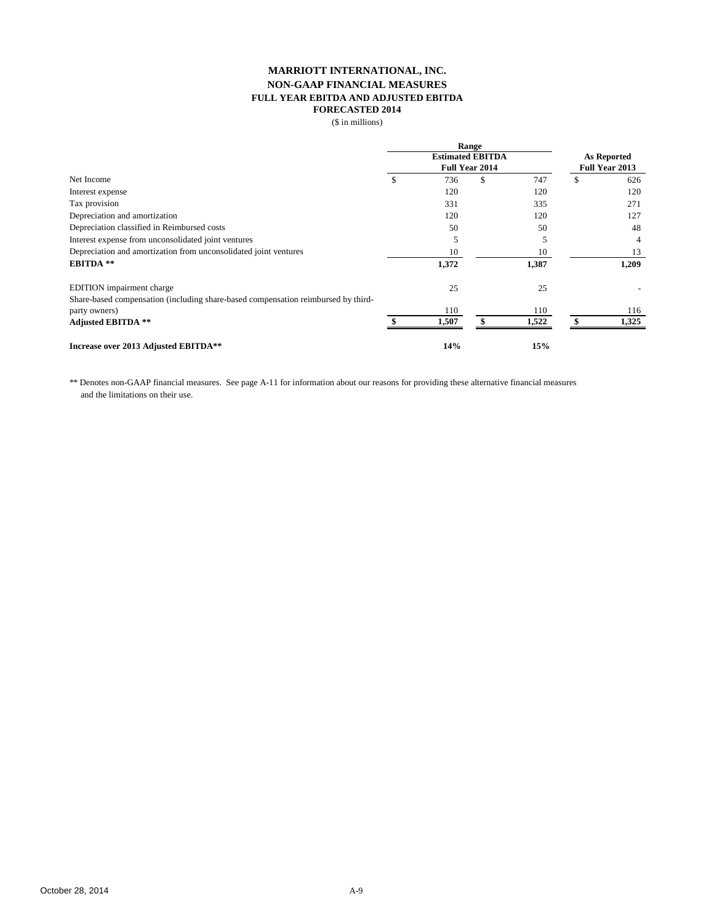## **MARRIOTT INTERNATIONAL, INC. NON-GAAP FINANCIAL MEASURES FULL YEAR EBITDA AND ADJUSTED EBITDA FORECASTED 2014**

(\$ in millions)

|                                                                                   | <b>Range</b><br><b>Estimated EBITDA</b> |       |                       |       |                    |                       |
|-----------------------------------------------------------------------------------|-----------------------------------------|-------|-----------------------|-------|--------------------|-----------------------|
|                                                                                   |                                         |       |                       |       | <b>As Reported</b> |                       |
|                                                                                   |                                         |       | <b>Full Year 2014</b> |       |                    | <b>Full Year 2013</b> |
| Net Income                                                                        |                                         | 736   | \$                    | 747   | \$                 | 626                   |
| Interest expense                                                                  |                                         | 120   |                       | 120   |                    | 120                   |
| Tax provision                                                                     |                                         | 331   |                       | 335   |                    | 271                   |
| Depreciation and amortization                                                     |                                         | 120   |                       | 120   |                    | 127                   |
| Depreciation classified in Reimbursed costs                                       |                                         | 50    |                       | 50    |                    | 48                    |
| Interest expense from unconsolidated joint ventures                               |                                         | 5     |                       |       |                    | 4                     |
| Depreciation and amortization from unconsolidated joint ventures                  |                                         | 10    |                       | 10    |                    | 13                    |
| <b>EBITDA</b> **                                                                  |                                         | 1,372 |                       | 1,387 |                    | 1,209                 |
| EDITION impairment charge                                                         |                                         | 25    |                       | 25    |                    |                       |
| Share-based compensation (including share-based compensation reimbursed by third- |                                         |       |                       |       |                    |                       |
| party owners)                                                                     |                                         | 110   |                       | 110   |                    | 116                   |
| <b>Adjusted EBITDA **</b>                                                         |                                         | 1,507 |                       | 1,522 |                    | 1,325                 |
| Increase over 2013 Adjusted EBITDA**                                              |                                         | 14%   |                       | 15%   |                    |                       |

\*\* Denotes non-GAAP financial measures. See page A-11 for information about our reasons for providing these alternative financial measures and the limitations on their use.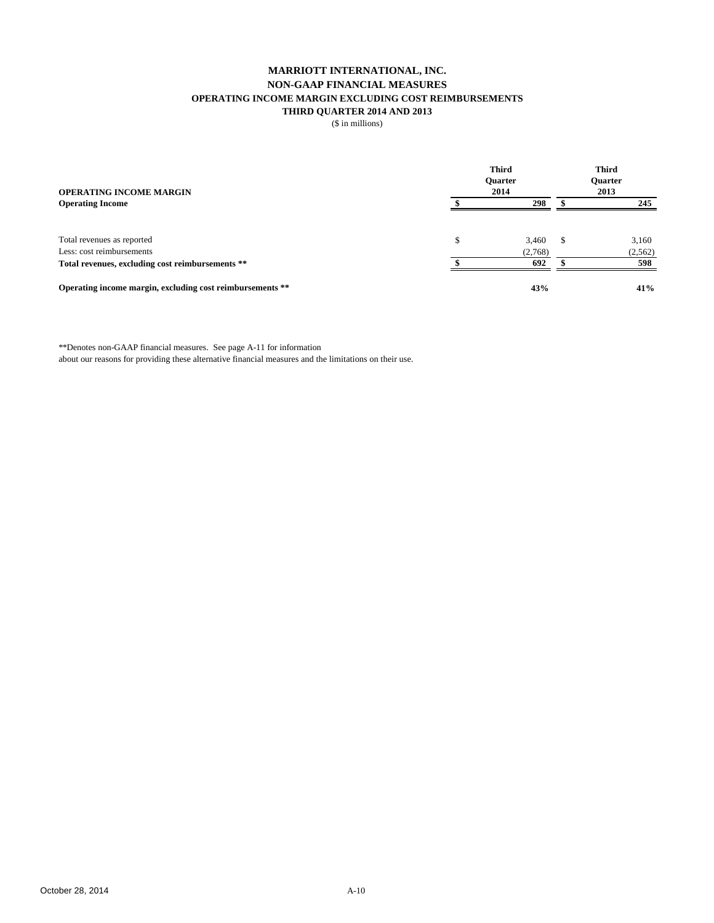## **MARRIOTT INTERNATIONAL, INC. NON-GAAP FINANCIAL MEASURES OPERATING INCOME MARGIN EXCLUDING COST REIMBURSEMENTS THIRD QUARTER 2014 AND 2013**

(\$ in millions)

| <b>OPERATING INCOME MARGIN</b>                            | <b>Third</b><br><b>Ouarter</b> | <b>Third</b><br><b>Ouarter</b><br>2013 |  |         |
|-----------------------------------------------------------|--------------------------------|----------------------------------------|--|---------|
| <b>Operating Income</b>                                   |                                | 298                                    |  | 245     |
| Total revenues as reported                                | \$                             | 3.460                                  |  | 3,160   |
| Less: cost reimbursements                                 |                                | (2,768)                                |  | (2,562) |
| Total revenues, excluding cost reimbursements **          |                                | 692                                    |  | 598     |
| Operating income margin, excluding cost reimbursements ** |                                | 43%                                    |  | 41%     |

\*\*Denotes non-GAAP financial measures. See page A-11 for information

about our reasons for providing these alternative financial measures and the limitations on their use.